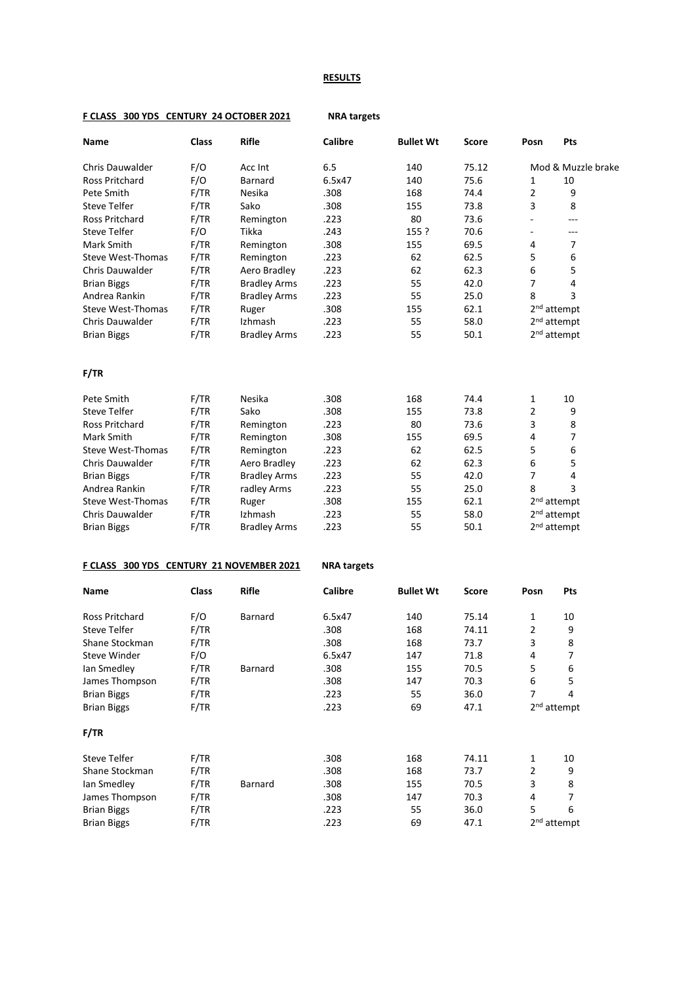## **RESULTS**

| F/O<br>Chris Dauwalder<br>Acc Int<br>6.5<br>140<br>75.12<br>Mod & Muzzle brake<br>F/O<br>140<br>75.6<br>Ross Pritchard<br><b>Barnard</b><br>6.5x47<br>10<br>1<br>F/TR<br>$\overline{2}$<br>Nesika<br>168<br>74.4<br>9<br>Pete Smith<br>.308<br>F/TR<br>Sako<br>73.8<br>3<br>8<br><b>Steve Telfer</b><br>.308<br>155<br>F/TR<br>80<br>73.6<br>Ross Pritchard<br>Remington<br>.223<br>÷<br>---<br>F/O<br>70.6<br>Steve Telfer<br>Tikka<br>.243<br>155 ?<br>÷<br>---<br>F/TR<br>69.5<br>Mark Smith<br>Remington<br>.308<br>7<br>155<br>4<br>F/TR<br>.223<br>62<br>62.5<br>5<br><b>Steve West-Thomas</b><br>Remington<br>6<br>F/TR<br>.223<br>62<br>62.3<br>6<br>5<br>Chris Dauwalder<br>Aero Bradley<br>F/TR<br>.223<br>42.0<br>7<br><b>Brian Biggs</b><br><b>Bradley Arms</b><br>55<br>4<br>Andrea Rankin<br>F/TR<br><b>Bradley Arms</b><br>.223<br>25.0<br>8<br>3<br>55<br>Steve West-Thomas<br>F/TR<br>.308<br>62.1<br>2 <sup>nd</sup> attempt<br>155<br>Ruger<br>F/TR<br>Izhmash<br>58.0<br>2 <sup>nd</sup> attempt<br>Chris Dauwalder<br>.223<br>55<br>2 <sup>nd</sup> attempt<br>F/TR<br>.223<br>55<br>50.1<br><b>Brian Biggs</b><br><b>Bradley Arms</b><br><b>F/TR</b><br>F/TR<br>Pete Smith<br>Nesika<br>.308<br>168<br>74.4<br>10<br>1<br>F/TR<br>$\overline{2}$<br>Sako<br>.308<br>155<br>73.8<br>9<br><b>Steve Telfer</b><br>F/TR<br>.223<br>80<br>73.6<br>3<br>8<br>Ross Pritchard<br>Remington<br>F/TR<br>.308<br>69.5<br>7<br>Mark Smith<br>155<br>4<br>Remington |  |
|------------------------------------------------------------------------------------------------------------------------------------------------------------------------------------------------------------------------------------------------------------------------------------------------------------------------------------------------------------------------------------------------------------------------------------------------------------------------------------------------------------------------------------------------------------------------------------------------------------------------------------------------------------------------------------------------------------------------------------------------------------------------------------------------------------------------------------------------------------------------------------------------------------------------------------------------------------------------------------------------------------------------------------------------------------------------------------------------------------------------------------------------------------------------------------------------------------------------------------------------------------------------------------------------------------------------------------------------------------------------------------------------------------------------------------------------------------------------------|--|
|                                                                                                                                                                                                                                                                                                                                                                                                                                                                                                                                                                                                                                                                                                                                                                                                                                                                                                                                                                                                                                                                                                                                                                                                                                                                                                                                                                                                                                                                              |  |
|                                                                                                                                                                                                                                                                                                                                                                                                                                                                                                                                                                                                                                                                                                                                                                                                                                                                                                                                                                                                                                                                                                                                                                                                                                                                                                                                                                                                                                                                              |  |
|                                                                                                                                                                                                                                                                                                                                                                                                                                                                                                                                                                                                                                                                                                                                                                                                                                                                                                                                                                                                                                                                                                                                                                                                                                                                                                                                                                                                                                                                              |  |
|                                                                                                                                                                                                                                                                                                                                                                                                                                                                                                                                                                                                                                                                                                                                                                                                                                                                                                                                                                                                                                                                                                                                                                                                                                                                                                                                                                                                                                                                              |  |
|                                                                                                                                                                                                                                                                                                                                                                                                                                                                                                                                                                                                                                                                                                                                                                                                                                                                                                                                                                                                                                                                                                                                                                                                                                                                                                                                                                                                                                                                              |  |
|                                                                                                                                                                                                                                                                                                                                                                                                                                                                                                                                                                                                                                                                                                                                                                                                                                                                                                                                                                                                                                                                                                                                                                                                                                                                                                                                                                                                                                                                              |  |
|                                                                                                                                                                                                                                                                                                                                                                                                                                                                                                                                                                                                                                                                                                                                                                                                                                                                                                                                                                                                                                                                                                                                                                                                                                                                                                                                                                                                                                                                              |  |
|                                                                                                                                                                                                                                                                                                                                                                                                                                                                                                                                                                                                                                                                                                                                                                                                                                                                                                                                                                                                                                                                                                                                                                                                                                                                                                                                                                                                                                                                              |  |
|                                                                                                                                                                                                                                                                                                                                                                                                                                                                                                                                                                                                                                                                                                                                                                                                                                                                                                                                                                                                                                                                                                                                                                                                                                                                                                                                                                                                                                                                              |  |
|                                                                                                                                                                                                                                                                                                                                                                                                                                                                                                                                                                                                                                                                                                                                                                                                                                                                                                                                                                                                                                                                                                                                                                                                                                                                                                                                                                                                                                                                              |  |
|                                                                                                                                                                                                                                                                                                                                                                                                                                                                                                                                                                                                                                                                                                                                                                                                                                                                                                                                                                                                                                                                                                                                                                                                                                                                                                                                                                                                                                                                              |  |
|                                                                                                                                                                                                                                                                                                                                                                                                                                                                                                                                                                                                                                                                                                                                                                                                                                                                                                                                                                                                                                                                                                                                                                                                                                                                                                                                                                                                                                                                              |  |
|                                                                                                                                                                                                                                                                                                                                                                                                                                                                                                                                                                                                                                                                                                                                                                                                                                                                                                                                                                                                                                                                                                                                                                                                                                                                                                                                                                                                                                                                              |  |
|                                                                                                                                                                                                                                                                                                                                                                                                                                                                                                                                                                                                                                                                                                                                                                                                                                                                                                                                                                                                                                                                                                                                                                                                                                                                                                                                                                                                                                                                              |  |
|                                                                                                                                                                                                                                                                                                                                                                                                                                                                                                                                                                                                                                                                                                                                                                                                                                                                                                                                                                                                                                                                                                                                                                                                                                                                                                                                                                                                                                                                              |  |
|                                                                                                                                                                                                                                                                                                                                                                                                                                                                                                                                                                                                                                                                                                                                                                                                                                                                                                                                                                                                                                                                                                                                                                                                                                                                                                                                                                                                                                                                              |  |
|                                                                                                                                                                                                                                                                                                                                                                                                                                                                                                                                                                                                                                                                                                                                                                                                                                                                                                                                                                                                                                                                                                                                                                                                                                                                                                                                                                                                                                                                              |  |
|                                                                                                                                                                                                                                                                                                                                                                                                                                                                                                                                                                                                                                                                                                                                                                                                                                                                                                                                                                                                                                                                                                                                                                                                                                                                                                                                                                                                                                                                              |  |
|                                                                                                                                                                                                                                                                                                                                                                                                                                                                                                                                                                                                                                                                                                                                                                                                                                                                                                                                                                                                                                                                                                                                                                                                                                                                                                                                                                                                                                                                              |  |
|                                                                                                                                                                                                                                                                                                                                                                                                                                                                                                                                                                                                                                                                                                                                                                                                                                                                                                                                                                                                                                                                                                                                                                                                                                                                                                                                                                                                                                                                              |  |
| 5<br>F/TR<br>.223<br>62<br>62.5<br><b>Steve West-Thomas</b><br>Remington<br>6                                                                                                                                                                                                                                                                                                                                                                                                                                                                                                                                                                                                                                                                                                                                                                                                                                                                                                                                                                                                                                                                                                                                                                                                                                                                                                                                                                                                |  |
| F/TR<br>.223<br>62<br>62.3<br>6<br>5<br>Chris Dauwalder<br>Aero Bradley                                                                                                                                                                                                                                                                                                                                                                                                                                                                                                                                                                                                                                                                                                                                                                                                                                                                                                                                                                                                                                                                                                                                                                                                                                                                                                                                                                                                      |  |
| F/TR<br>.223<br>42.0<br><b>Brian Biggs</b><br><b>Bradley Arms</b><br>55<br>7<br>4                                                                                                                                                                                                                                                                                                                                                                                                                                                                                                                                                                                                                                                                                                                                                                                                                                                                                                                                                                                                                                                                                                                                                                                                                                                                                                                                                                                            |  |
| 3<br>F/TR<br>.223<br>55<br>25.0<br>8<br>Andrea Rankin<br>radley Arms                                                                                                                                                                                                                                                                                                                                                                                                                                                                                                                                                                                                                                                                                                                                                                                                                                                                                                                                                                                                                                                                                                                                                                                                                                                                                                                                                                                                         |  |
| 2 <sup>nd</sup> attempt<br>F/TR<br>.308<br>155<br>62.1<br><b>Steve West-Thomas</b><br>Ruger                                                                                                                                                                                                                                                                                                                                                                                                                                                                                                                                                                                                                                                                                                                                                                                                                                                                                                                                                                                                                                                                                                                                                                                                                                                                                                                                                                                  |  |
| F/TR<br>.223<br>58.0<br>2 <sup>nd</sup> attempt<br>Chris Dauwalder<br>Izhmash<br>55                                                                                                                                                                                                                                                                                                                                                                                                                                                                                                                                                                                                                                                                                                                                                                                                                                                                                                                                                                                                                                                                                                                                                                                                                                                                                                                                                                                          |  |
| 2 <sup>nd</sup> attempt<br>F/TR<br>50.1<br><b>Bradley Arms</b><br>.223<br>55<br><b>Brian Biggs</b>                                                                                                                                                                                                                                                                                                                                                                                                                                                                                                                                                                                                                                                                                                                                                                                                                                                                                                                                                                                                                                                                                                                                                                                                                                                                                                                                                                           |  |
| F CLASS 300 YDS CENTURY 21 NOVEMBER 2021<br><b>NRA targets</b>                                                                                                                                                                                                                                                                                                                                                                                                                                                                                                                                                                                                                                                                                                                                                                                                                                                                                                                                                                                                                                                                                                                                                                                                                                                                                                                                                                                                               |  |
| <b>Rifle</b><br><b>Calibre</b><br>Class<br><b>Bullet Wt</b><br>Pts<br>Name<br><b>Score</b><br>Posn                                                                                                                                                                                                                                                                                                                                                                                                                                                                                                                                                                                                                                                                                                                                                                                                                                                                                                                                                                                                                                                                                                                                                                                                                                                                                                                                                                           |  |
| F/O<br>Ross Pritchard<br><b>Barnard</b><br>6.5x47<br>140<br>75.14<br>1<br>10                                                                                                                                                                                                                                                                                                                                                                                                                                                                                                                                                                                                                                                                                                                                                                                                                                                                                                                                                                                                                                                                                                                                                                                                                                                                                                                                                                                                 |  |
| <b>Steve Telfer</b><br>F/TR<br>168<br>2<br>9<br>.308<br>74.11                                                                                                                                                                                                                                                                                                                                                                                                                                                                                                                                                                                                                                                                                                                                                                                                                                                                                                                                                                                                                                                                                                                                                                                                                                                                                                                                                                                                                |  |
| 3<br>8<br>F/TR<br>.308<br>168<br>Shane Stockman<br>73.7                                                                                                                                                                                                                                                                                                                                                                                                                                                                                                                                                                                                                                                                                                                                                                                                                                                                                                                                                                                                                                                                                                                                                                                                                                                                                                                                                                                                                      |  |
| Steve Winder<br>F/O<br>71.8<br>7<br>6.5x47<br>147<br>4                                                                                                                                                                                                                                                                                                                                                                                                                                                                                                                                                                                                                                                                                                                                                                                                                                                                                                                                                                                                                                                                                                                                                                                                                                                                                                                                                                                                                       |  |
| F/TR<br>70.5<br>5<br>.308<br>155<br>6<br>lan Smedley<br>Barnard                                                                                                                                                                                                                                                                                                                                                                                                                                                                                                                                                                                                                                                                                                                                                                                                                                                                                                                                                                                                                                                                                                                                                                                                                                                                                                                                                                                                              |  |
| F/TR<br>.308<br>147<br>70.3<br>6<br>5<br>James Thompson                                                                                                                                                                                                                                                                                                                                                                                                                                                                                                                                                                                                                                                                                                                                                                                                                                                                                                                                                                                                                                                                                                                                                                                                                                                                                                                                                                                                                      |  |
| F/TR<br>.223<br>36.0<br>4<br><b>Brian Biggs</b><br>55<br>7                                                                                                                                                                                                                                                                                                                                                                                                                                                                                                                                                                                                                                                                                                                                                                                                                                                                                                                                                                                                                                                                                                                                                                                                                                                                                                                                                                                                                   |  |
| F/TR<br>.223<br>69<br>47.1<br>$2nd$ attempt<br><b>Brian Biggs</b>                                                                                                                                                                                                                                                                                                                                                                                                                                                                                                                                                                                                                                                                                                                                                                                                                                                                                                                                                                                                                                                                                                                                                                                                                                                                                                                                                                                                            |  |
| F/TR                                                                                                                                                                                                                                                                                                                                                                                                                                                                                                                                                                                                                                                                                                                                                                                                                                                                                                                                                                                                                                                                                                                                                                                                                                                                                                                                                                                                                                                                         |  |
| <b>Steve Telfer</b><br>F/TR<br>.308<br>168<br>74.11<br>10<br>1                                                                                                                                                                                                                                                                                                                                                                                                                                                                                                                                                                                                                                                                                                                                                                                                                                                                                                                                                                                                                                                                                                                                                                                                                                                                                                                                                                                                               |  |
| Shane Stockman<br>F/TR<br>.308<br>73.7<br>168<br>$\overline{2}$<br>9                                                                                                                                                                                                                                                                                                                                                                                                                                                                                                                                                                                                                                                                                                                                                                                                                                                                                                                                                                                                                                                                                                                                                                                                                                                                                                                                                                                                         |  |
| F/TR<br>Barnard<br>70.5<br>3<br>8<br>lan Smedley<br>.308<br>155                                                                                                                                                                                                                                                                                                                                                                                                                                                                                                                                                                                                                                                                                                                                                                                                                                                                                                                                                                                                                                                                                                                                                                                                                                                                                                                                                                                                              |  |
| James Thompson<br>F/TR<br>.308<br>70.3<br>$\overline{7}$<br>147<br>4                                                                                                                                                                                                                                                                                                                                                                                                                                                                                                                                                                                                                                                                                                                                                                                                                                                                                                                                                                                                                                                                                                                                                                                                                                                                                                                                                                                                         |  |
| <b>Brian Biggs</b><br>F/TR<br>.223<br>55<br>36.0<br>5<br>6                                                                                                                                                                                                                                                                                                                                                                                                                                                                                                                                                                                                                                                                                                                                                                                                                                                                                                                                                                                                                                                                                                                                                                                                                                                                                                                                                                                                                   |  |

Brian Biggs F/TR .223 69 47.1 2<sup>nd</sup> attempt

# **F CLASS 300 YDS CENTURY 24 OCTOBER 2021 NRA targets**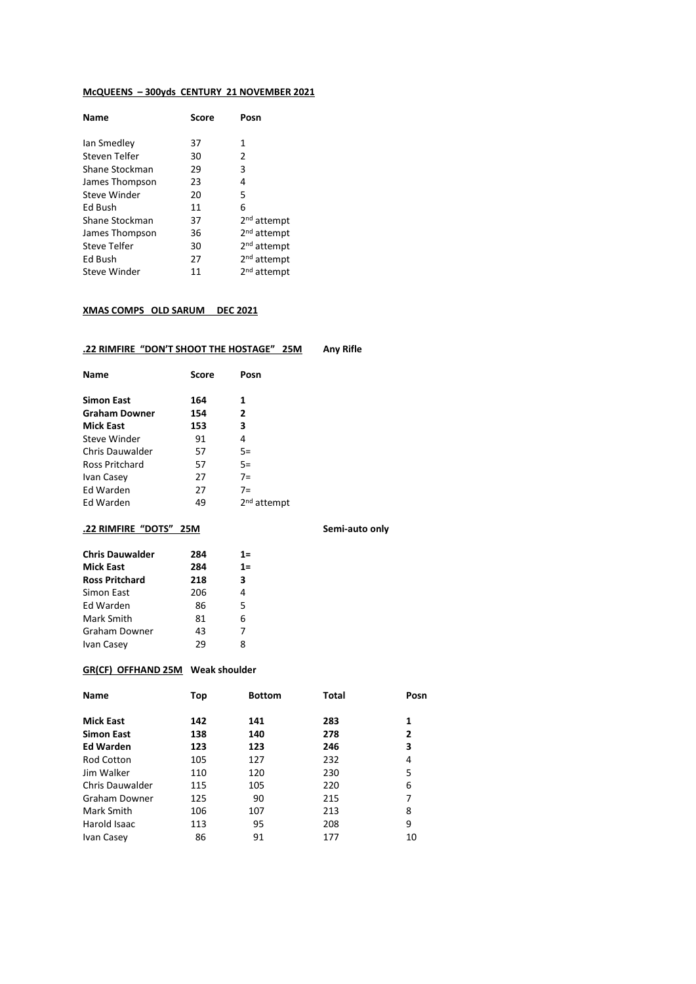### **McQUEENS – 300yds CENTURY 21 NOVEMBER 2021**

| Score | Posn                    |
|-------|-------------------------|
| 37    | 1                       |
| 30    | 2                       |
| 29    | 3                       |
| 23    | 4                       |
| 20    | 5                       |
| 11    | 6                       |
| 37    | 2 <sup>nd</sup> attempt |
| 36    | 2 <sup>nd</sup> attempt |
| 30    | 2 <sup>nd</sup> attempt |
| 27    | 2 <sup>nd</sup> attempt |
| 11    | 2 <sup>nd</sup> attempt |
|       |                         |

### **XMAS COMPS OLD SARUM DEC 2021**

## **.22 RIMFIRE "DON'T SHOOT THE HOSTAGE" 25M Any Rifle**

| Score | Posn                    |
|-------|-------------------------|
| 164   | 1                       |
| 154   | $\overline{2}$          |
| 153   | 3                       |
| 91    | 4                       |
| 57    | $5=$                    |
| 57    | $5=$                    |
| 27    | $7=$                    |
| 27    | $7=$                    |
| 49    | 2 <sup>nd</sup> attempt |
|       |                         |

## **.22 RIMFIRE "DOTS" 25M Semi-auto only**

| <b>Chris Dauwalder</b> | 284 | 1=    |
|------------------------|-----|-------|
| <b>Mick East</b>       | 284 | $1 =$ |
| <b>Ross Pritchard</b>  | 218 | 3     |
| Simon East             | 206 | 4     |
| Ed Warden              | 86  | 5     |
| Mark Smith             | 81  | 6     |
| Graham Downer          | 43  | 7     |
| Ivan Casey             | 29  | 8     |

### **GR(CF) OFFHAND 25M Weak shoulder**

| <b>Name</b>       | Top | <b>Bottom</b> | <b>Total</b> | Posn |
|-------------------|-----|---------------|--------------|------|
| <b>Mick East</b>  | 142 | 141           | 283          | 1    |
| <b>Simon East</b> | 138 | 140           | 278          | 2    |
| <b>Ed Warden</b>  | 123 | 123           | 246          | 3    |
| <b>Rod Cotton</b> | 105 | 127           | 232          | 4    |
| Jim Walker        | 110 | 120           | 230          | 5    |
| Chris Dauwalder   | 115 | 105           | 220          | 6    |
| Graham Downer     | 125 | 90            | 215          | 7    |
| Mark Smith        | 106 | 107           | 213          | 8    |
| Harold Isaac      | 113 | 95            | 208          | 9    |
| Ivan Casey        | 86  | 91            | 177          | 10   |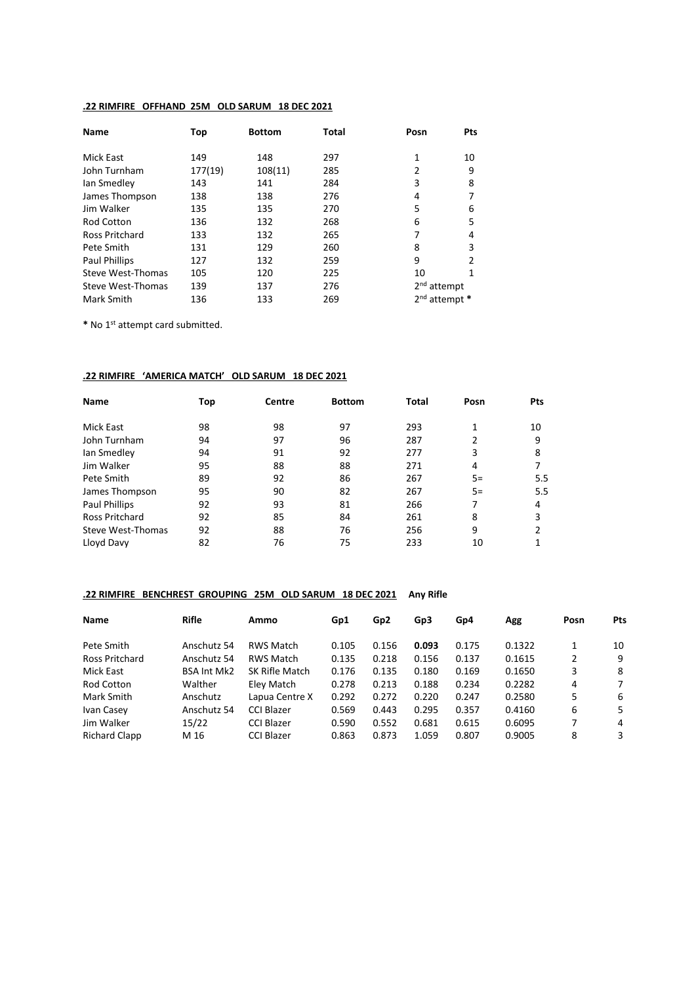## **.22 RIMFIRE OFFHAND 25M OLD SARUM 18 DEC 2021**

| <b>Name</b>          | Top     | <b>Bottom</b> | Total | Posn                    | Pts |
|----------------------|---------|---------------|-------|-------------------------|-----|
| Mick East            | 149     | 148           | 297   | 1                       | 10  |
| John Turnham         | 177(19) | 108(11)       | 285   | 2                       | 9   |
| lan Smedley          | 143     | 141           | 284   | 3                       | 8   |
| James Thompson       | 138     | 138           | 276   | 4                       |     |
| Jim Walker           | 135     | 135           | 270   | 5                       | 6   |
| <b>Rod Cotton</b>    | 136     | 132           | 268   | 6                       | 5   |
| Ross Pritchard       | 133     | 132           | 265   | 7                       | 4   |
| Pete Smith           | 131     | 129           | 260   | 8                       | 3   |
| <b>Paul Phillips</b> | 127     | 132           | 259   | 9                       | 2   |
| Steve West-Thomas    | 105     | 120           | 225   | 10                      |     |
| Steve West-Thomas    | 139     | 137           | 276   | 2 <sup>nd</sup> attempt |     |
| Mark Smith           | 136     | 133           | 269   | $2nd$ attempt $*$       |     |

**\*** No 1st attempt card submitted.

### **.22 RIMFIRE 'AMERICA MATCH' OLD SARUM 18 DEC 2021**

| <b>Name</b>           | Top | Centre | <b>Bottom</b> | <b>Total</b> | Posn | Pts |
|-----------------------|-----|--------|---------------|--------------|------|-----|
| Mick East             | 98  | 98     | 97            | 293          |      | 10  |
| John Turnham          | 94  | 97     | 96            | 287          |      | 9   |
| Ian Smedley           | 94  | 91     | 92            | 277          | 3    | 8   |
| Jim Walker            | 95  | 88     | 88            | 271          | 4    |     |
| Pete Smith            | 89  | 92     | 86            | 267          | $5=$ | 5.5 |
| James Thompson        | 95  | 90     | 82            | 267          | $5=$ | 5.5 |
| Paul Phillips         | 92  | 93     | 81            | 266          |      | 4   |
| <b>Ross Pritchard</b> | 92  | 85     | 84            | 261          | 8    | 3   |
| Steve West-Thomas     | 92  | 88     | 76            | 256          | 9    | 2   |
| Lloyd Davy            | 82  | 76     | 75            | 233          | 10   |     |

## **.22 RIMFIRE BENCHREST GROUPING 25M OLD SARUM 18 DEC 2021 Any Rifle**

| <b>Name</b>          | <b>Rifle</b>       | Ammo              | Gp1   | Gp <sub>2</sub> | Gp3   | Gp4   | Agg    | Posn | Pts |
|----------------------|--------------------|-------------------|-------|-----------------|-------|-------|--------|------|-----|
| Pete Smith           | Anschutz 54        | <b>RWS Match</b>  | 0.105 | 0.156           | 0.093 | 0.175 | 0.1322 | 1    | 10  |
| Ross Pritchard       | Anschutz 54        | <b>RWS Match</b>  | 0.135 | 0.218           | 0.156 | 0.137 | 0.1615 | 2    | 9   |
| Mick East            | <b>BSA Int Mk2</b> | SK Rifle Match    | 0.176 | 0.135           | 0.180 | 0.169 | 0.1650 | 3    | 8   |
| <b>Rod Cotton</b>    | Walther            | Eley Match        | 0.278 | 0.213           | 0.188 | 0.234 | 0.2282 | 4    | 7   |
| Mark Smith           | Anschutz           | Lapua Centre X    | 0.292 | 0.272           | 0.220 | 0.247 | 0.2580 | 5    | -6  |
| Ivan Casey           | Anschutz 54        | CCI Blazer        | 0.569 | 0.443           | 0.295 | 0.357 | 0.4160 | 6    | 5   |
| Jim Walker           | 15/22              | <b>CCI Blazer</b> | 0.590 | 0.552           | 0.681 | 0.615 | 0.6095 | 7    | 4   |
| <b>Richard Clapp</b> | M 16               | <b>CCI Blazer</b> | 0.863 | 0.873           | 1.059 | 0.807 | 0.9005 | 8    | 3   |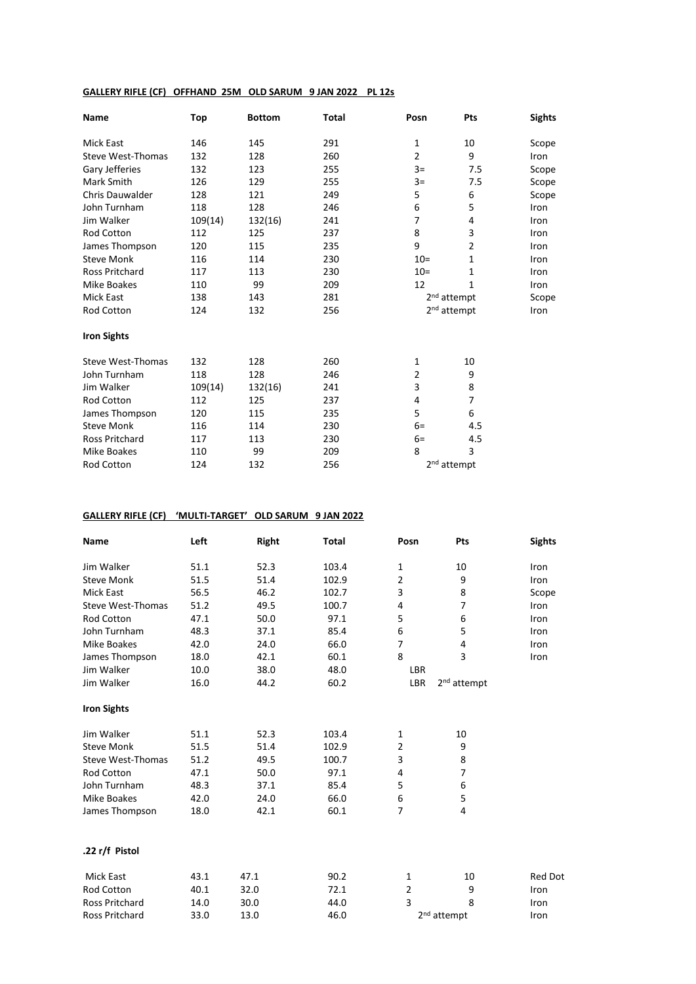### **GALLERY RIFLE (CF) OFFHAND 25M OLD SARUM 9 JAN 2022 PL 12s**

| Name                     | Top     | <b>Bottom</b> | <b>Total</b> | Posn           | Pts                     | <b>Sights</b> |
|--------------------------|---------|---------------|--------------|----------------|-------------------------|---------------|
| Mick East                | 146     | 145           | 291          | 1              | 10                      | Scope         |
| <b>Steve West-Thomas</b> | 132     | 128           | 260          | $\overline{2}$ | 9                       | Iron          |
| Gary Jefferies           | 132     | 123           | 255          | $3=$           | 7.5                     | Scope         |
| Mark Smith               | 126     | 129           | 255          | $3=$           | 7.5                     | Scope         |
| <b>Chris Dauwalder</b>   | 128     | 121           | 249          | 5              | 6                       | Scope         |
| John Turnham             | 118     | 128           | 246          | 6              | 5                       | Iron          |
| Jim Walker               | 109(14) | 132(16)       | 241          | 7              | 4                       | Iron          |
| Rod Cotton               | 112     | 125           | 237          | 8              | 3                       | Iron          |
| James Thompson           | 120     | 115           | 235          | 9              | $\overline{2}$          | Iron          |
| <b>Steve Monk</b>        | 116     | 114           | 230          | $10 =$         | $\mathbf{1}$            | Iron          |
| <b>Ross Pritchard</b>    | 117     | 113           | 230          | $10=$          | 1                       | Iron          |
| Mike Boakes              | 110     | 99            | 209          | 12             | 1                       | Iron          |
| <b>Mick East</b>         | 138     | 143           | 281          |                | 2 <sup>nd</sup> attempt | Scope         |
| Rod Cotton               | 124     | 132           | 256          |                | 2 <sup>nd</sup> attempt | Iron          |
| <b>Iron Sights</b>       |         |               |              |                |                         |               |
| <b>Steve West-Thomas</b> | 132     | 128           | 260          | 1              | 10                      |               |
| John Turnham             | 118     | 128           | 246          | 2              | 9                       |               |
| Jim Walker               | 109(14) | 132(16)       | 241          | 3              | 8                       |               |
| Rod Cotton               | 112     | 125           | 237          | 4              | $\overline{7}$          |               |
| James Thompson           | 120     | 115           | 235          | 5              | 6                       |               |
| <b>Steve Monk</b>        | 116     | 114           | 230          | $6=$           | 4.5                     |               |
| <b>Ross Pritchard</b>    | 117     | 113           | 230          | $6=$           | 4.5                     |               |
| <b>Mike Boakes</b>       | 110     | 99            | 209          | 8              | 3                       |               |
| <b>Rod Cotton</b>        | 124     | 132           | 256          |                | 2 <sup>nd</sup> attempt |               |

# **GALLERY RIFLE (CF) 'MULTI-TARGET' OLD SARUM 9 JAN 2022**

| Name                     | Left | <b>Right</b> | <b>Total</b> | Posn           | Pts                     | <b>Sights</b>  |
|--------------------------|------|--------------|--------------|----------------|-------------------------|----------------|
| Jim Walker               | 51.1 | 52.3         | 103.4        | $\mathbf{1}$   | 10                      | Iron           |
| <b>Steve Monk</b>        | 51.5 | 51.4         | 102.9        | 2              | 9                       | Iron           |
| <b>Mick East</b>         | 56.5 | 46.2         | 102.7        | 3              | 8                       | Scope          |
| Steve West-Thomas        | 51.2 | 49.5         | 100.7        | 4              | $\overline{7}$          | Iron           |
| <b>Rod Cotton</b>        | 47.1 | 50.0         | 97.1         | 5              | 6                       | Iron           |
| John Turnham             | 48.3 | 37.1         | 85.4         | 6              | 5                       | Iron           |
| <b>Mike Boakes</b>       | 42.0 | 24.0         | 66.0         | 7              | 4                       | Iron           |
| James Thompson           | 18.0 | 42.1         | 60.1         | 8              | 3                       | Iron           |
| Jim Walker               | 10.0 | 38.0         | 48.0         | LBR            |                         |                |
| Jim Walker               | 16.0 | 44.2         | 60.2         | LBR            | 2 <sup>nd</sup> attempt |                |
| <b>Iron Sights</b>       |      |              |              |                |                         |                |
| Jim Walker               | 51.1 | 52.3         | 103.4        | 1              | 10                      |                |
| <b>Steve Monk</b>        | 51.5 | 51.4         | 102.9        | $\overline{2}$ | 9                       |                |
| <b>Steve West-Thomas</b> | 51.2 | 49.5         | 100.7        | 3              | 8                       |                |
| <b>Rod Cotton</b>        | 47.1 | 50.0         | 97.1         | 4              | $\overline{7}$          |                |
| John Turnham             | 48.3 | 37.1         | 85.4         | 5              | 6                       |                |
| <b>Mike Boakes</b>       | 42.0 | 24.0         | 66.0         | 6              | 5                       |                |
| James Thompson           | 18.0 | 42.1         | 60.1         | 7              | 4                       |                |
| .22 r/f Pistol           |      |              |              |                |                         |                |
|                          |      |              |              |                |                         |                |
| <b>Mick East</b>         | 43.1 | 47.1         | 90.2         | 1              | 10                      | <b>Red Dot</b> |
| Rod Cotton               | 40.1 | 32.0         | 72.1         | 2              | 9                       | Iron           |
| <b>Ross Pritchard</b>    | 14.0 | 30.0         | 44.0         | 3              | 8                       | Iron           |
| <b>Ross Pritchard</b>    | 33.0 | 13.0         | 46.0         |                | 2 <sup>nd</sup> attempt | Iron           |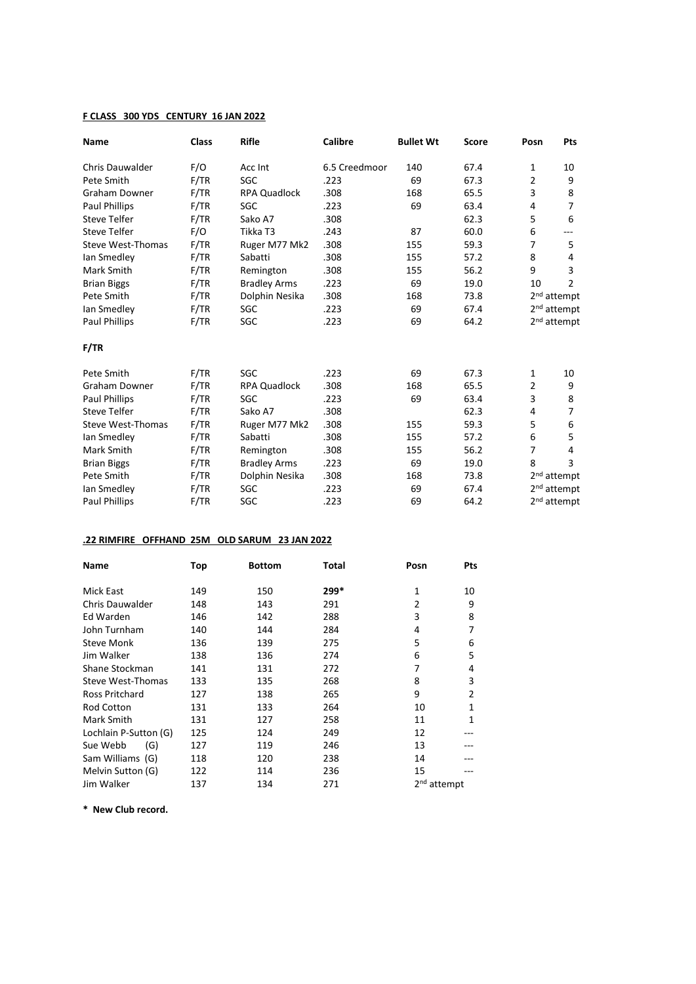## **F CLASS 300 YDS CENTURY 16 JAN 2022**

| Name                     | <b>Class</b> | <b>Rifle</b>        | <b>Calibre</b> | <b>Bullet Wt</b> | <b>Score</b> | Posn           | Pts                     |
|--------------------------|--------------|---------------------|----------------|------------------|--------------|----------------|-------------------------|
| Chris Dauwalder          | F/O          | Acc Int             | 6.5 Creedmoor  | 140              | 67.4         | 1              | 10                      |
| Pete Smith               | F/TR         | SGC                 | .223           | 69               | 67.3         | $\overline{2}$ | 9                       |
| <b>Graham Downer</b>     | F/TR         | <b>RPA Quadlock</b> | .308           | 168              | 65.5         | 3              | 8                       |
| Paul Phillips            | F/TR         | SGC                 | .223           | 69               | 63.4         | 4              | 7                       |
| <b>Steve Telfer</b>      | F/TR         | Sako A7             | .308           |                  | 62.3         | 5              | 6                       |
| <b>Steve Telfer</b>      | F/O          | Tikka T3            | .243           | 87               | 60.0         | 6              | ---                     |
| Steve West-Thomas        | F/TR         | Ruger M77 Mk2       | .308           | 155              | 59.3         | 7              | 5                       |
| lan Smedley              | F/TR         | Sabatti             | .308           | 155              | 57.2         | 8              | 4                       |
| Mark Smith               | F/TR         | Remington           | .308           | 155              | 56.2         | 9              | 3                       |
| <b>Brian Biggs</b>       | F/TR         | <b>Bradley Arms</b> | .223           | 69               | 19.0         | 10             | $\overline{2}$          |
| Pete Smith               | F/TR         | Dolphin Nesika      | .308           | 168              | 73.8         |                | 2 <sup>nd</sup> attempt |
| lan Smedley              | F/TR         | SGC                 | .223           | 69               | 67.4         |                | 2 <sup>nd</sup> attempt |
| <b>Paul Phillips</b>     | F/TR         | SGC                 | .223           | 69               | 64.2         |                | 2 <sup>nd</sup> attempt |
| F/TR                     |              |                     |                |                  |              |                |                         |
| Pete Smith               | F/TR         | SGC                 | .223           | 69               | 67.3         | 1              | 10                      |
| <b>Graham Downer</b>     | F/TR         | <b>RPA Quadlock</b> | .308           | 168              | 65.5         | $\overline{2}$ | 9                       |
| <b>Paul Phillips</b>     | F/TR         | SGC                 | .223           | 69               | 63.4         | 3              | 8                       |
| <b>Steve Telfer</b>      | F/TR         | Sako A7             | .308           |                  | 62.3         | 4              | 7                       |
| <b>Steve West-Thomas</b> | F/TR         | Ruger M77 Mk2       | .308           | 155              | 59.3         | 5              | 6                       |
| Ian Smedley              | F/TR         | Sabatti             | .308           | 155              | 57.2         | 6              | 5                       |
| Mark Smith               | F/TR         | Remington           | .308           | 155              | 56.2         | 7              | 4                       |
| <b>Brian Biggs</b>       | F/TR         | <b>Bradley Arms</b> | .223           | 69               | 19.0         | 8              | 3                       |
| Pete Smith               | F/TR         | Dolphin Nesika      | .308           | 168              | 73.8         |                | 2 <sup>nd</sup> attempt |
| lan Smedley              | F/TR         | SGC                 | .223           | 69               | 67.4         |                | 2 <sup>nd</sup> attempt |
| Paul Phillips            | F/TR         | SGC                 | .223           | 69               | 64.2         |                | 2 <sup>nd</sup> attempt |

# **.22 RIMFIRE OFFHAND 25M OLD SARUM 23 JAN 2022**

| <b>Name</b>           | Top | <b>Bottom</b> | <b>Total</b> | Posn                    | Pts            |
|-----------------------|-----|---------------|--------------|-------------------------|----------------|
| Mick East             | 149 | 150           | 299*         | 1                       | 10             |
| Chris Dauwalder       | 148 | 143           | 291          | 2                       | 9              |
| Ed Warden             | 146 | 142           | 288          | 3                       | 8              |
| John Turnham          | 140 | 144           | 284          | 4                       | 7              |
| <b>Steve Monk</b>     | 136 | 139           | 275          | 5                       | 6              |
| Jim Walker            | 138 | 136           | 274          | 6                       | 5              |
| Shane Stockman        | 141 | 131           | 272          | 7                       | 4              |
| Steve West-Thomas     | 133 | 135           | 268          | 8                       | 3              |
| <b>Ross Pritchard</b> | 127 | 138           | 265          | 9                       | $\overline{2}$ |
| <b>Rod Cotton</b>     | 131 | 133           | 264          | 10                      | 1              |
| Mark Smith            | 131 | 127           | 258          | 11                      | 1              |
| Lochlain P-Sutton (G) | 125 | 124           | 249          | 12                      |                |
| (G)<br>Sue Webb       | 127 | 119           | 246          | 13                      |                |
| Sam Williams (G)      | 118 | 120           | 238          | 14                      |                |
| Melvin Sutton (G)     | 122 | 114           | 236          | 15                      |                |
| Jim Walker            | 137 | 134           | 271          | 2 <sup>nd</sup> attempt |                |

**\* New Club record.**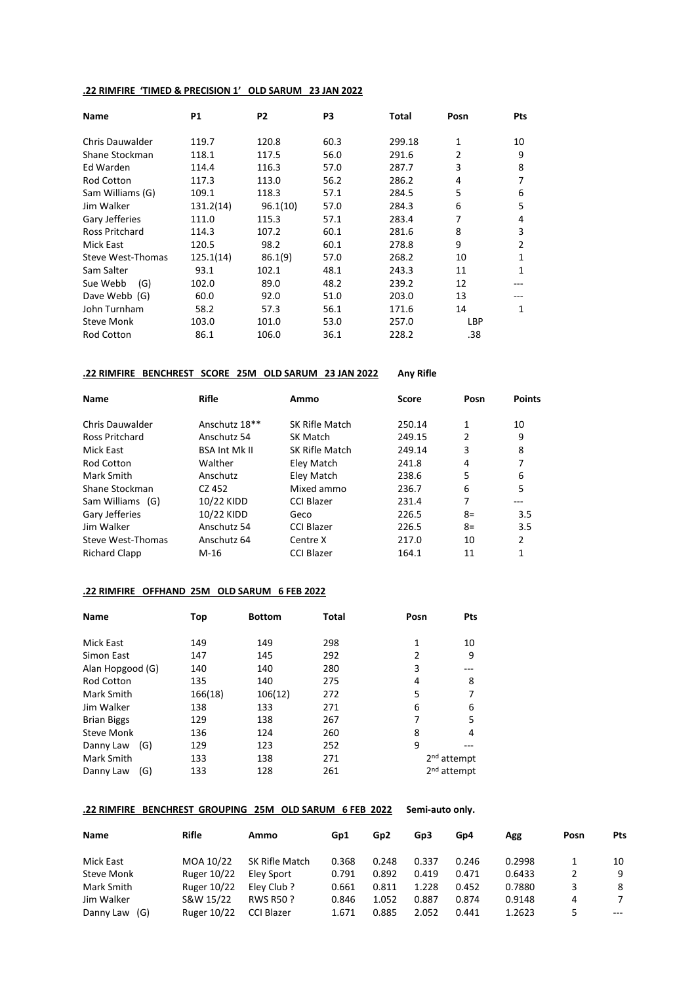## **.22 RIMFIRE 'TIMED & PRECISION 1' OLD SARUM 23 JAN 2022**

| <b>Name</b>            | <b>P1</b> | P <sub>2</sub> | P3   | Total  | Posn       | Pts |
|------------------------|-----------|----------------|------|--------|------------|-----|
| <b>Chris Dauwalder</b> | 119.7     | 120.8          | 60.3 | 299.18 | 1          | 10  |
| Shane Stockman         | 118.1     | 117.5          | 56.0 | 291.6  | 2          | 9   |
| Ed Warden              | 114.4     | 116.3          | 57.0 | 287.7  | 3          | 8   |
| <b>Rod Cotton</b>      | 117.3     | 113.0          | 56.2 | 286.2  | 4          | 7   |
| Sam Williams (G)       | 109.1     | 118.3          | 57.1 | 284.5  | 5          | 6   |
| Jim Walker             | 131.2(14) | 96.1(10)       | 57.0 | 284.3  | 6          | 5   |
| Gary Jefferies         | 111.0     | 115.3          | 57.1 | 283.4  | 7          | 4   |
| <b>Ross Pritchard</b>  | 114.3     | 107.2          | 60.1 | 281.6  | 8          | 3   |
| Mick East              | 120.5     | 98.2           | 60.1 | 278.8  | 9          | 2   |
| Steve West-Thomas      | 125.1(14) | 86.1(9)        | 57.0 | 268.2  | 10         | 1   |
| Sam Salter             | 93.1      | 102.1          | 48.1 | 243.3  | 11         | 1   |
| (G)<br>Sue Webb        | 102.0     | 89.0           | 48.2 | 239.2  | 12         |     |
| Dave Webb (G)          | 60.0      | 92.0           | 51.0 | 203.0  | 13         |     |
| John Turnham           | 58.2      | 57.3           | 56.1 | 171.6  | 14         | 1   |
| <b>Steve Monk</b>      | 103.0     | 101.0          | 53.0 | 257.0  | <b>LBP</b> |     |
| <b>Rod Cotton</b>      | 86.1      | 106.0          | 36.1 | 228.2  | .38        |     |

## **.22 RIMFIRE BENCHREST SCORE 25M OLD SARUM 23 JAN 2022 Any Rifle**

| <b>Name</b>          | Rifle                | Ammo              | Score  | Posn | <b>Points</b> |
|----------------------|----------------------|-------------------|--------|------|---------------|
| Chris Dauwalder      | Anschutz 18**        | SK Rifle Match    | 250.14 | 1    | 10            |
| Ross Pritchard       | Anschutz 54          | SK Match          | 249.15 | 2    | 9             |
| Mick East            | <b>BSA Int Mk II</b> | SK Rifle Match    | 249.14 | 3    | 8             |
| <b>Rod Cotton</b>    | Walther              | Eley Match        | 241.8  | 4    |               |
| Mark Smith           | Anschutz             | Eley Match        | 238.6  | 5    | 6             |
| Shane Stockman       | CZ 452               | Mixed ammo        | 236.7  | 6    | 5             |
| Sam Williams (G)     | 10/22 KIDD           | CCI Blazer        | 231.4  | 7    |               |
| Gary Jefferies       | 10/22 KIDD           | Geco              | 226.5  | $8=$ | 3.5           |
| Jim Walker           | Anschutz 54          | <b>CCI Blazer</b> | 226.5  | $8=$ | 3.5           |
| Steve West-Thomas    | Anschutz 64          | Centre X          | 217.0  | 10   | $\mathcal{P}$ |
| <b>Richard Clapp</b> | $M-16$               | <b>CCI Blazer</b> | 164.1  | 11   |               |

## **.22 RIMFIRE OFFHAND 25M OLD SARUM 6 FEB 2022**

| <b>Name</b>        |     | Top     | <b>Bottom</b> | <b>Total</b> | Posn | <b>Pts</b>              |
|--------------------|-----|---------|---------------|--------------|------|-------------------------|
|                    |     |         |               |              |      |                         |
| Mick East          |     | 149     | 149           | 298          | 1    | 10                      |
| Simon East         |     | 147     | 145           | 292          | 2    | 9                       |
| Alan Hopgood (G)   |     | 140     | 140           | 280          | 3    |                         |
| <b>Rod Cotton</b>  |     | 135     | 140           | 275          | 4    | 8                       |
| Mark Smith         |     | 166(18) | 106(12)       | 272          | 5    |                         |
| Jim Walker         |     | 138     | 133           | 271          | 6    | 6                       |
| <b>Brian Biggs</b> |     | 129     | 138           | 267          | 7    | 5                       |
| <b>Steve Monk</b>  |     | 136     | 124           | 260          | 8    | 4                       |
| Danny Law          | (G) | 129     | 123           | 252          | 9    |                         |
| Mark Smith         |     | 133     | 138           | 271          |      | $2nd$ attempt           |
| Danny Law          | (G) | 133     | 128           | 261          |      | 2 <sup>nd</sup> attempt |

#### **.22 RIMFIRE BENCHREST GROUPING 25M OLD SARUM 6 FEB 2022 Semi-auto only.**

| Name              | Rifle              | Ammo              | Gp1   | Gp <sub>2</sub> | Gp3   | Gp4   | Agg    | Posn | Pts   |
|-------------------|--------------------|-------------------|-------|-----------------|-------|-------|--------|------|-------|
| Mick East         | MOA 10/22          | SK Rifle Match    | 0.368 | 0.248           | 0.337 | 0.246 | 0.2998 |      | 10    |
| <b>Steve Monk</b> | <b>Ruger 10/22</b> | Elev Sport        | 0.791 | 0.892           | 0.419 | 0.471 | 0.6433 |      | 9     |
| Mark Smith        | Ruger 10/22        | Elev Club ?       | 0.661 | 0.811           | 1.228 | 0.452 | 0.7880 | 3    | 8     |
| Jim Walker        | S&W 15/22          | <b>RWS R50 ?</b>  | 0.846 | 1.052           | 0.887 | 0.874 | 0.9148 | 4    | 7     |
| Danny Law<br>(G)  | Ruger 10/22        | <b>CCI Blazer</b> | 1.671 | 0.885           | 2.052 | 0.441 | 1.2623 |      | $---$ |